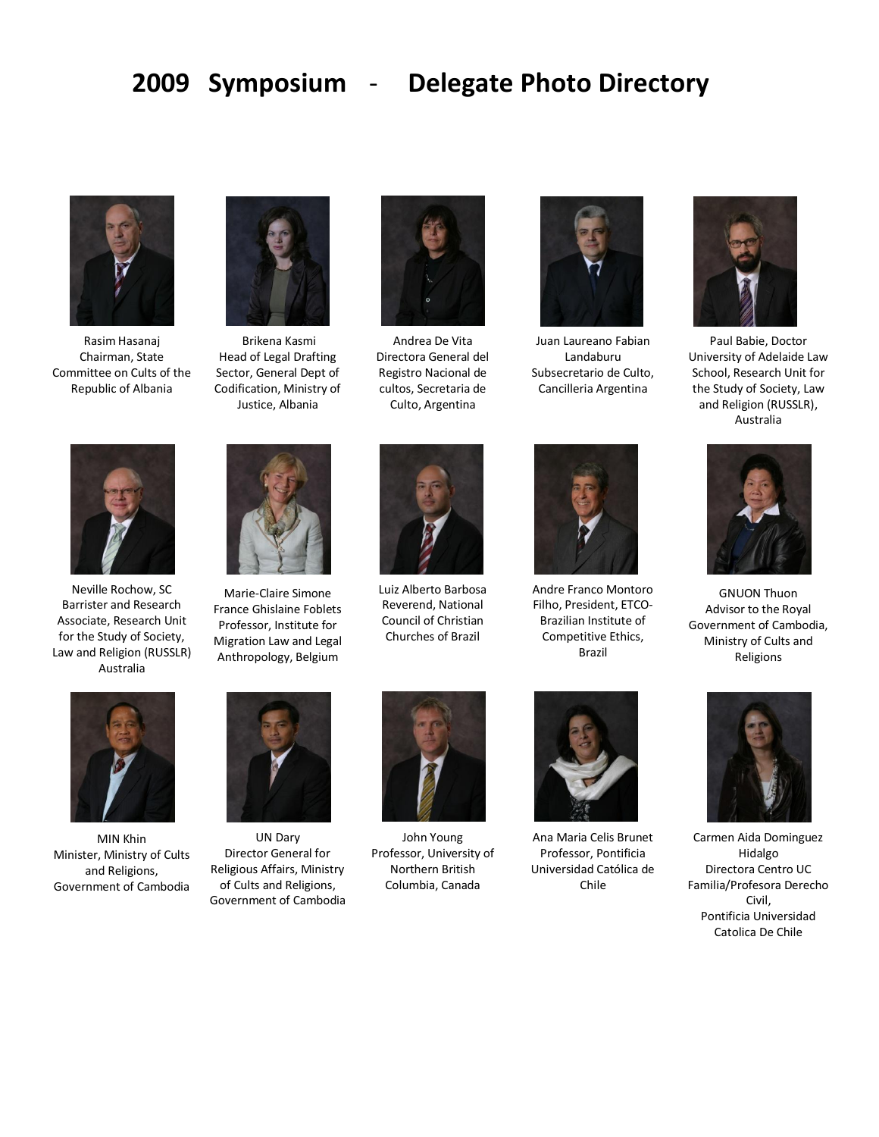## **2009 Symposium** - **Delegate Photo Directory**



Rasim Hasanaj Chairman, State Committee on Cults of the Republic of Albania



Brikena Kasmi Head of Legal Drafting Sector, General Dept of Codification, Ministry of Justice, Albania



Andrea De Vita Directora General del Registro Nacional de cultos, Secretaria de Culto, Argentina



Juan Laureano Fabian Landaburu Subsecretario de Culto, Cancilleria Argentina



Paul Babie, Doctor University of Adelaide Law School, Research Unit for the Study of Society, Law and Religion (RUSSLR), Australia



Neville Rochow, SC Barrister and Research Associate, Research Unit for the Study of Society, Law and Religion (RUSSLR) Australia



Marie-Claire Simone France Ghislaine Foblets Professor, Institute for Migration Law and Legal Anthropology, Belgium



Luiz Alberto Barbosa Reverend, National Council of Christian Churches of Brazil



Andre Franco Montoro Filho, President, ETCO-Brazilian Institute of Competitive Ethics, Brazil



GNUON Thuon Advisor to the Royal Government of Cambodia, Ministry of Cults and Religions



MIN Khin Minister, Ministry of Cults and Religions, Government of Cambodia



UN Dary Director General for Religious Affairs, Ministry of Cults and Religions, Government of Cambodia



John Young Professor, University of Northern British Columbia, Canada



Ana Maria Celis Brunet Professor, Pontificia Universidad Católica de Chile



Carmen Aida Dominguez Hidalgo Directora Centro UC Familia/Profesora Derecho Civil, Pontificia Universidad Catolica De Chile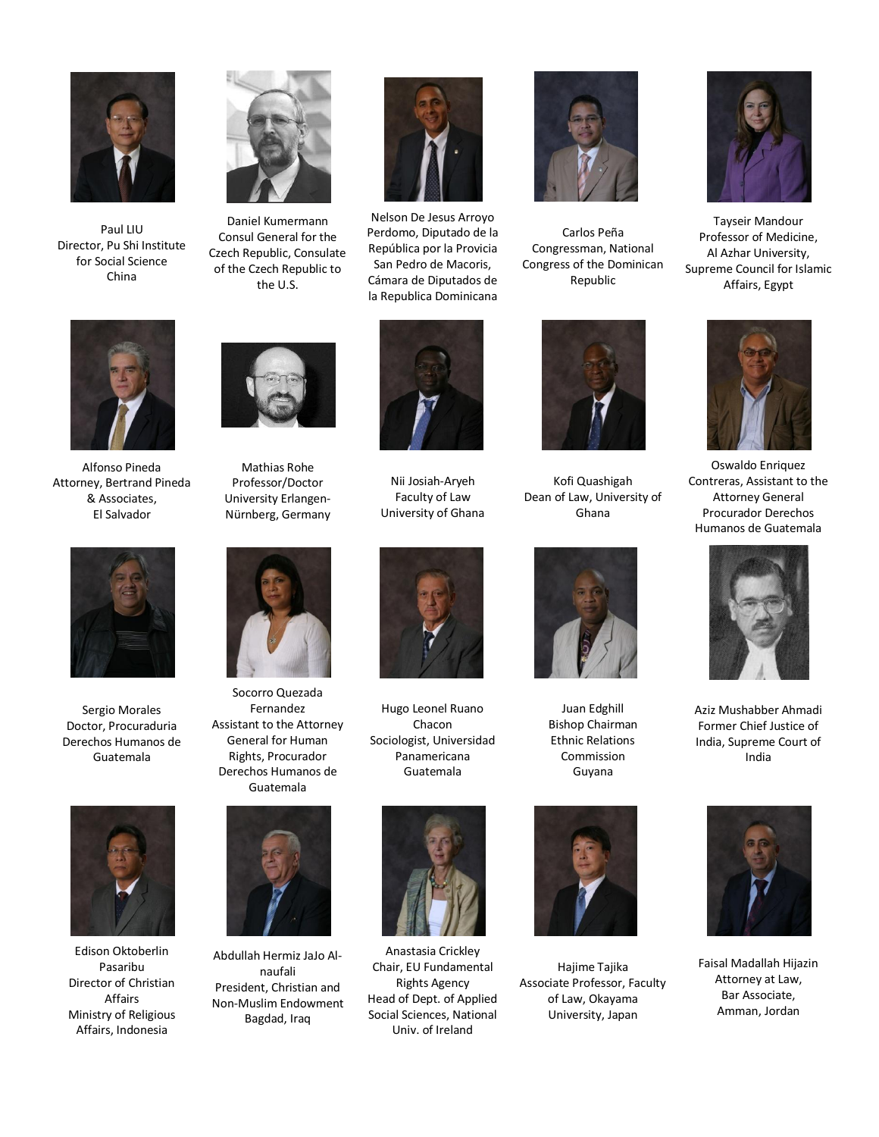

Paul LIU Director, Pu Shi Institute for Social Science China



Daniel Kumermann Consul General for the Czech Republic, Consulate of the Czech Republic to the U.S.



Nelson De Jesus Arroyo Perdomo, Diputado de la República por la Provicia San Pedro de Macoris, Cámara de Diputados de la Republica Dominicana



Carlos Peña Congressman, National Congress of the Dominican Republic



Tayseir Mandour Professor of Medicine, Al Azhar University, Supreme Council for Islamic Affairs, Egypt



Alfonso Pineda Attorney, Bertrand Pineda & Associates, El Salvador

Sergio Morales Doctor, Procuraduria Derechos Humanos de Guatemala

Edison Oktoberlin Pasaribu Director of Christian Affairs Ministry of Religious Affairs, Indonesia



Mathias Rohe Professor/Doctor University Erlangen-Nürnberg, Germany



Socorro Quezada Fernandez Assistant to the Attorney General for Human Rights, Procurador Derechos Humanos de Guatemala



Abdullah Hermiz JaJo Alnaufali President, Christian and Non-Muslim Endowment Bagdad, Iraq



Nii Josiah-Aryeh Faculty of Law University of Ghana



Kofi Quashigah Dean of Law, University of Ghana



Juan Edghill Bishop Chairman Ethnic Relations Commission Guyana



Hajime Tajika Associate Professor, Faculty of Law, Okayama University, Japan



Oswaldo Enriquez Contreras, Assistant to the Attorney General Procurador Derechos Humanos de Guatemala



Aziz Mushabber Ahmadi Former Chief Justice of India, Supreme Court of India



Faisal Madallah Hijazin Attorney at Law, Bar Associate, Amman, Jordan

Hugo Leonel Ruano Chacon Sociologist, Universidad Panamericana Guatemala



Anastasia Crickley Chair, EU Fundamental Rights Agency Head of Dept. of Applied Social Sciences, National Univ. of Ireland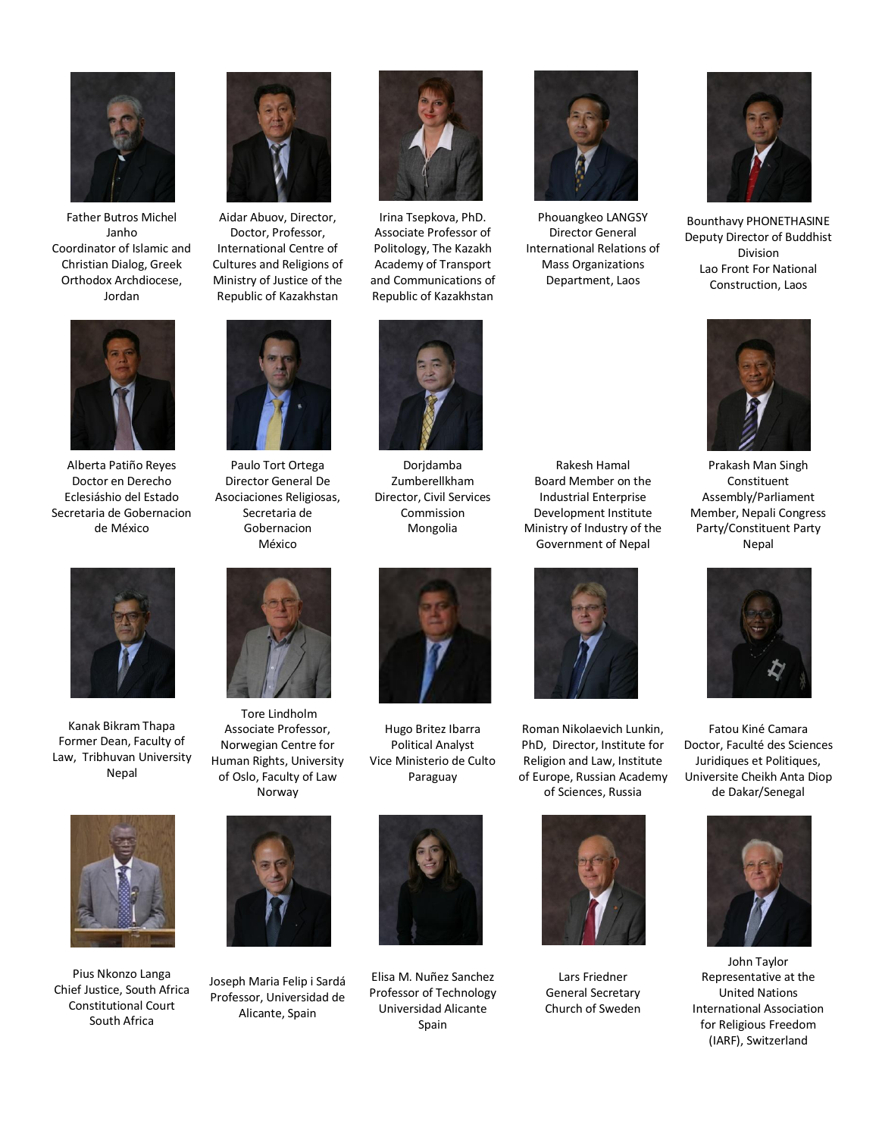

Father Butros Michel Janho Coordinator of Islamic and Christian Dialog, Greek Orthodox Archdiocese, Jordan



Alberta Patiño Reyes Doctor en Derecho Eclesiáshio del Estado Secretaria de Gobernacion de México



Aidar Abuov, Director, Doctor, Professor, International Centre of Cultures and Religions of Ministry of Justice of the Republic of Kazakhstan



Paulo Tort Ortega Director General De Asociaciones Religiosas, Secretaria de Gobernacion México



Irina Tsepkova, PhD. Associate Professor of Politology, The Kazakh Academy of Transport and Communications of Republic of Kazakhstan



Dorjdamba Zumberellkham Director, Civil Services Commission Mongolia



Phouangkeo LANGSY Director General International Relations of Mass Organizations Department, Laos



Bounthavy PHONETHASINE Deputy Director of Buddhist Division Lao Front For National Construction, Laos



Prakash Man Singh Constituent Assembly/Parliament Member, Nepali Congress Party/Constituent Party Nepal



Fatou Kiné Camara Doctor, Faculté des Sciences Juridiques et Politiques, Universite Cheikh Anta Diop de Dakar/Senegal



John Taylor Representative at the United Nations International Association for Religious Freedom (IARF), Switzerland



Kanak Bikram Thapa Former Dean, Faculty of Law, Tribhuvan University Nepal



Pius Nkonzo Langa Chief Justice, South Africa Constitutional Court South Africa



Tore Lindholm Associate Professor, Norwegian Centre for Human Rights, University of Oslo, Faculty of Law Norway



Joseph Maria Felip i Sardá Professor, Universidad de Alicante, Spain



Hugo Britez Ibarra Political Analyst Vice Ministerio de Culto Paraguay



Elisa M. Nuñez Sanchez Professor of Technology Universidad Alicante Spain



Rakesh Hamal Board Member on the Industrial Enterprise Development Institute Ministry of Industry of the Government of Nepal

Roman Nikolaevich Lunkin, PhD, Director, Institute for Religion and Law, Institute of Europe, Russian Academy of Sciences, Russia



Lars Friedner General Secretary Church of Sweden